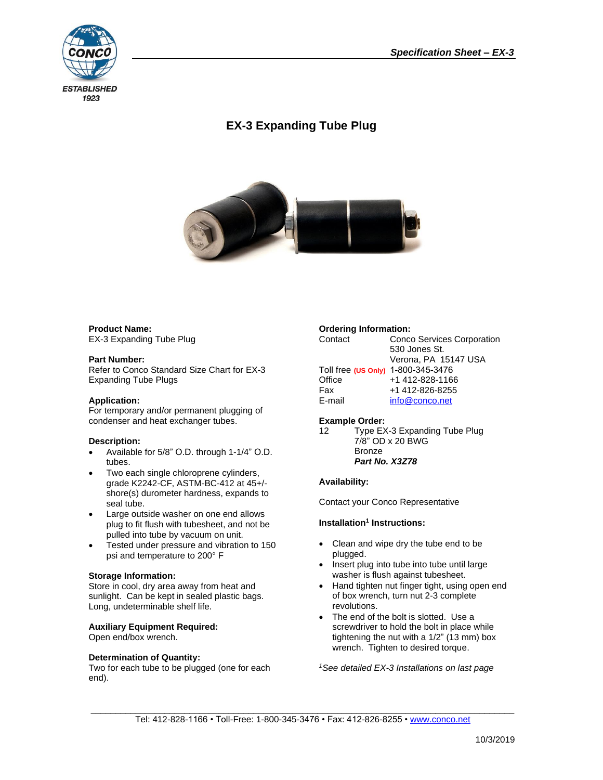

# **EX-3 Expanding Tube Plug**



## **Product Name:** EX-3 Expanding Tube Plug

## **Part Number:**

Refer to Conco Standard Size Chart for EX-3 Expanding Tube Plugs

## **Application:**

For temporary and/or permanent plugging of condenser and heat exchanger tubes.

## **Description:**

- Available for 5/8" O.D. through 1-1/4" O.D. tubes.
- Two each single chloroprene cylinders, grade K2242-CF, ASTM-BC-412 at 45+/ shore(s) durometer hardness, expands to seal tube.
- Large outside washer on one end allows plug to fit flush with tubesheet, and not be pulled into tube by vacuum on unit.
- Tested under pressure and vibration to 150 psi and temperature to 200° F

## **Storage Information:**

Store in cool, dry area away from heat and sunlight. Can be kept in sealed plastic bags. Long, undeterminable shelf life.

## **Auxiliary Equipment Required:**

Open end/box wrench.

## **Determination of Quantity:**

Two for each tube to be plugged (one for each end).

## **Ordering Information:**

| Contact                            | <b>Conco Services Corporation</b> |  |  |
|------------------------------------|-----------------------------------|--|--|
|                                    | 530 Jones St.                     |  |  |
|                                    | Verona, PA 15147 USA              |  |  |
| Toll free (US Only) 1-800-345-3476 |                                   |  |  |
| Office                             | +1 412-828-1166                   |  |  |
| Fax                                | +1 412-826-8255                   |  |  |
| E-mail                             | info@conco.net                    |  |  |

#### **Example Order:**

12 Type EX-3 Expanding Tube Plug 7/8" OD x 20 BWG Bronze *Part No. X3Z78*

## **Availability:**

Contact your Conco Representative

## **Installation<sup>1</sup>** Instructions:

- Clean and wipe dry the tube end to be plugged.
- Insert plug into tube into tube until large washer is flush against tubesheet.
- Hand tighten nut finger tight, using open end of box wrench, turn nut 2-3 complete revolutions.
- The end of the bolt is slotted. Use a screwdriver to hold the bolt in place while tightening the nut with a 1/2" (13 mm) box wrench. Tighten to desired torque.

*1See detailed EX-3 Installations on last page*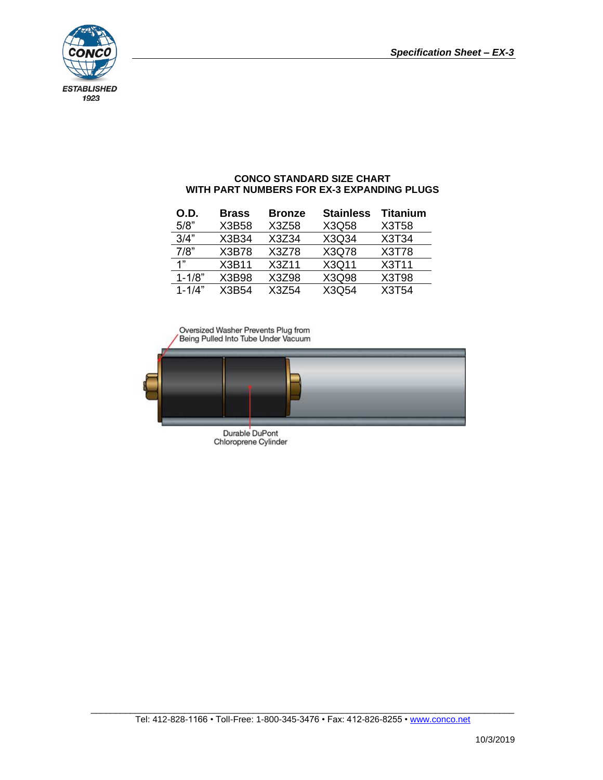

# **CONCO STANDARD SIZE CHART WITH PART NUMBERS FOR EX-3 EXPANDING PLUGS**

| O.D.       | <b>Brass</b> | <b>Bronze</b> | <b>Stainless</b> | <b>Titanium</b> |
|------------|--------------|---------------|------------------|-----------------|
| 5/8"       | X3B58        | X3Z58         | X3Q58            | X3T58           |
| 3/4"       | X3B34        | X3Z34         | X3Q34            | X3T34           |
| 7/8"       | X3B78        | X3Z78         | X3Q78            | X3T78           |
| 1"         | X3B11        | X3Z11         | X3Q11            | <b>X3T11</b>    |
| $1 - 1/8"$ | X3B98        | X3Z98         | X3Q98            | X3T98           |
| $1 - 1/4"$ | X3B54        | X3Z54         | X3Q54            | X3T54           |

Oversized Washer Prevents Plug from<br>Being Pulled Into Tube Under Vacuum



Durable DuPont<br>Chloroprene Cylinder